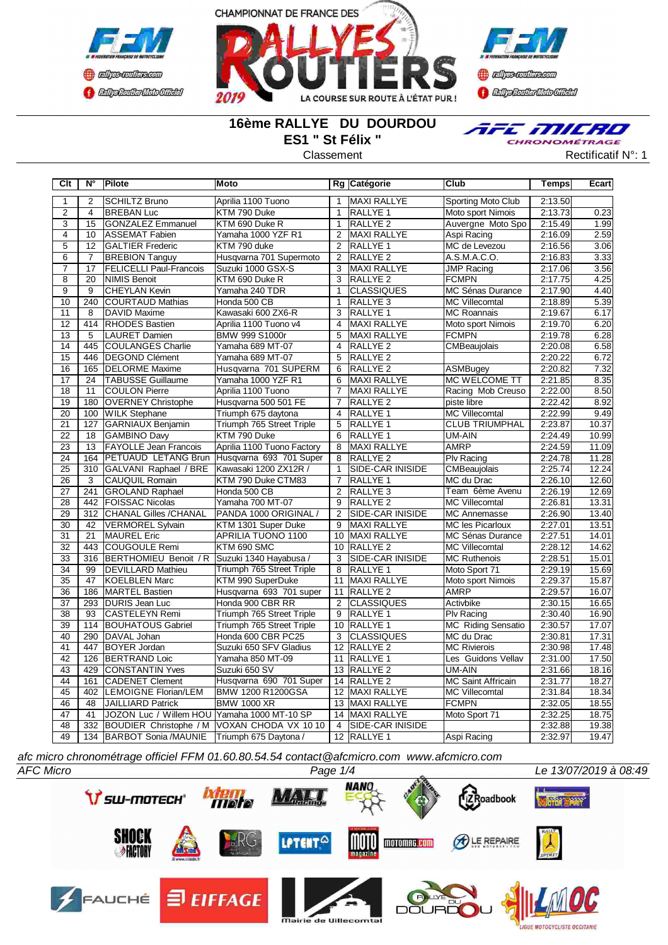





# **16ème RALLYE DU DOURDOU ES1 " St Félix "**



Classement **Classement** Rectificatif N°: 1

| Clt             | N°               | Pilote                                           | Moto                                            |                 | Rg Catégorie            | Club                      | Temps   | Ecart |
|-----------------|------------------|--------------------------------------------------|-------------------------------------------------|-----------------|-------------------------|---------------------------|---------|-------|
| $\mathbf{1}$    | $\overline{2}$   | <b>SCHILTZ Bruno</b>                             | Aprilia 1100 Tuono                              | $\mathbf{1}$    | MAXI RALLYE             | Sporting Moto Club        | 2:13.50 |       |
| $\overline{2}$  | $\overline{4}$   | <b>BREBAN Luc</b>                                | KTM 790 Duke                                    | $\mathbf{1}$    | RALLYE <sub>1</sub>     | Moto sport Nimois         | 2:13.73 | 0.23  |
| 3               | 15               | <b>GONZALEZ Emmanuel</b>                         | KTM 690 Duke R                                  | $\mathbf{1}$    | RALLYE <sub>2</sub>     | Auvergne Moto Spo         | 2:15.49 | 1.99  |
| $\overline{4}$  | 10               | <b>ASSEMAT Fabien</b>                            | Yamaha 1000 YZF R1                              | $\overline{2}$  | <b>MAXI RALLYE</b>      | Aspi Racing               | 2:16.09 | 2.59  |
| $\overline{5}$  | $\overline{12}$  | <b>GALTIER Frederic</b>                          | KTM 790 duke                                    | $\overline{2}$  | RALLYE 1                | MC de Levezou             | 2:16.56 | 3.06  |
| $\overline{6}$  | $\overline{7}$   | <b>BREBION Tanguy</b>                            | Husqvarna 701 Supermoto                         | $\overline{2}$  | <b>RALLYE 2</b>         | A.S.M.A.C.O.              | 2:16.83 | 3.33  |
| $\overline{7}$  | 17               | <b>FELICELLI Paul-Francois</b>                   | Suzuki 1000 GSX-S                               | 3               | MAXI RALLYE             | <b>JMP Racing</b>         | 2:17.06 | 3.56  |
| $\overline{8}$  | $\overline{20}$  | NIMIS Benoit                                     | KTM 690 Duke R                                  | $\overline{3}$  | <b>RALLYE 2</b>         | <b>FCMPN</b>              | 2:17.75 | 4.25  |
| $\overline{9}$  | 9                | CHEYLAN Kevin                                    | Yamaha 240 TDR                                  | $\mathbf{1}$    | <b>CLASSIQUES</b>       | <b>MC Sénas Durance</b>   | 2:17.90 | 4.40  |
| 10              | 240              | <b>COURTAUD Mathias</b>                          | Honda 500 CB                                    | $\mathbf{1}$    | RALLYE 3                | <b>MC Villecomtal</b>     | 2:18.89 | 5.39  |
| 11              | 8                | DAVID Maxime                                     | Kawasaki 600 ZX6-R                              | 3               | RALLYE 1                | <b>MC Roannais</b>        | 2:19.67 | 6.17  |
| 12              | 414              | <b>RHODES Bastien</b>                            | Aprilia 1100 Tuono v4                           | $\overline{4}$  | <b>MAXI RALLYE</b>      | Moto sport Nimois         | 2:19.70 | 6.20  |
| $\overline{13}$ | $\overline{5}$   | <b>LAURET Damien</b>                             | BMW 999 S1000r                                  | $\overline{5}$  | <b>MAXI RALLYE</b>      | <b>FCMPN</b>              | 2:19.78 | 6.28  |
| 14              | 445              | <b>COULANGES Charlie</b>                         | Yamaha 689 MT-07                                | $\overline{4}$  | <b>RALLYE 2</b>         | CMBeaujolais              | 2:20.08 | 6.58  |
| $\overline{15}$ | 446              | DEGOND Clément                                   | Yamaha 689 MT-07                                | 5               | RALLYE 2                |                           | 2:20.22 | 6.72  |
| $\overline{16}$ | 165              | <b>DELORME</b> Maxime                            | Husqvarna 701 SUPERM                            | 6               | <b>RALLYE 2</b>         | <b>ASMBugey</b>           | 2:20.82 | 7.32  |
| 17              | 24               | <b>TABUSSE Guillaume</b>                         | Yamaha 1000 YZF R1                              | 6               | MAXI RALLYE             | MC WELCOME TT             | 2:21.85 | 8.35  |
| $\overline{18}$ | 11               | <b>COULON Pierre</b>                             | Aprilia 1100 Tuono                              | $\overline{7}$  | MAXI RALLYE             | Racing Mob Creuso         | 2:22.00 | 8.50  |
| 19              | 180              | <b>OVERNEY Christophe</b>                        | Husqvarna 500 501 FE                            | $\overline{7}$  | RALLYE <sub>2</sub>     | piste libre               | 2:22.42 | 8.92  |
| 20              | 100              | <b>WILK Stephane</b>                             | Triumph 675 daytona                             | $\overline{4}$  | RALLYE <sub>1</sub>     | <b>MC Villecomtal</b>     | 2:22.99 | 9.49  |
| $\overline{21}$ | 127              | <b>GARNIAUX Benjamin</b>                         | Triumph 765 Street Triple                       | 5               | RALLYE 1                | <b>CLUB TRIUMPHAL</b>     | 2:23.87 | 10.37 |
| $\overline{22}$ | 18               | <b>GAMBINO Davy</b>                              | KTM 790 Duke                                    | 6               | RALLYE 1                | UM-AIN                    | 2:24.49 | 10.99 |
| 23              | 13               | <b>FAYOLLE Jean Francois</b>                     | Aprilia 1100 Tuono Factory                      | 8               | <b>MAXI RALLYE</b>      | <b>AMRP</b>               | 2:24.59 | 11.09 |
| $\overline{24}$ | 164              |                                                  | PETUAUD LETANG Brun Husqvarna 693 701 Super     | 8               | <b>RALLYE 2</b>         | <b>Plv Racing</b>         | 2:24.78 | 11.28 |
| $\overline{25}$ | $\overline{310}$ | GALVANI Raphael / BRE                            | Kawasaki 1200 ZX12R /                           | $\mathbf{1}$    | SIDE-CAR INISIDE        | CMBeaujolais              | 2:25.74 | 12.24 |
| 26              | 3                | <b>CAUQUIL Romain</b>                            | KTM 790 Duke CTM83                              | 7               | RALLYE 1                | MC du Drac                | 2:26.10 | 12.60 |
| 27              | 241              | <b>GROLAND Raphael</b>                           | Honda 500 CB                                    | $\overline{2}$  | RALLYE 3                | Team 6ème Avenu           | 2:26.19 | 12.69 |
| 28              | 442              | <b>FOISSAC Nicolas</b>                           | Yamaha 700 MT-07                                | 9               | RALLYE 2                | <b>MC Villecomtal</b>     | 2:26.81 | 13.31 |
| 29              | 312              | CHANAL Gilles /CHANAL                            | PANDA 1000 ORIGINAL /                           | 2               | SIDE-CAR INISIDE        | <b>MC Annemasse</b>       | 2:26.90 | 13.40 |
| 30              | 42               | <b>VERMOREL Sylvain</b>                          | KTM 1301 Super Duke                             | 9               | MAXI RALLYE             | <b>MC les Picarloux</b>   | 2:27.01 | 13.51 |
| 31              | 21               | MAUREL Eric                                      | APRILIA TUONO 1100                              | 10              | MAXI RALLYE             | MC Sénas Durance          | 2:27.51 | 14.01 |
| $\overline{32}$ | 443              | COUGOULE Remi                                    | KTM 690 SMC                                     | 10              | RALLYE <sub>2</sub>     | <b>MC Villecomtal</b>     | 2:28.12 | 14.62 |
| $\overline{33}$ | 316              | <b>BERTHOMIEU Benoit / R</b>                     | Suzuki 1340 Hayabusa /                          | $\overline{3}$  | <b>SIDE-CAR INISIDE</b> | <b>MC Ruthenois</b>       | 2:28.51 | 15.01 |
| $\overline{34}$ | 99               | <b>DEVILLARD Mathieu</b>                         | Triumph 765 Street Triple                       | 8               | RALLYE 1                | Moto Sport 71             | 2:29.19 | 15.69 |
| $\overline{35}$ | 47               | KOELBLEN Marc                                    | KTM 990 SuperDuke                               | 11              | MAXI RALLYE             | Moto sport Nimois         | 2:29.37 | 15.87 |
| $\overline{36}$ | 186              | <b>MARTEL Bastien</b>                            | Husqvarna 693 701 super                         | 11              | RALLYE 2                | <b>AMRP</b>               | 2:29.57 | 16.07 |
| 37              | 293              | DURIS Jean Luc                                   | Honda 900 CBR RR                                | $\overline{2}$  | <b>CLASSIQUES</b>       | Activbike                 | 2:30.15 | 16.65 |
| $\overline{38}$ | 93               | <b>CASTELEYN Remi</b>                            | Triumph 765 Street Triple                       | 9               | RALLYE 1                | <b>Plv Racing</b>         | 2:30.40 | 16.90 |
| 39              | 114              | <b>BOUHATOUS Gabriel</b>                         | Triumph 765 Street Triple                       | 10              | RALLYE <sub>1</sub>     | <b>MC Riding Sensatio</b> | 2:30.57 | 17.07 |
| 40              | 290              | DAVAL Johan                                      | Honda 600 CBR PC25                              | 3               | <b>CLASSIQUES</b>       | MC du Drac                | 2:30.81 | 17.31 |
| 41              | 447              | <b>BOYER Jordan</b>                              | Suzuki 650 SFV Gladius                          | 12              | <b>RALLYE 2</b>         | <b>MC Rivierois</b>       | 2:30.98 | 17.48 |
| 42              | 126              | <b>BERTRAND Loic</b>                             | Yamaha 850 MT-09                                | 11              | <b>RALLYE 1</b>         | Les Guidons Vellav        | 2:31.00 | 17.50 |
| 43              | 429              | <b>CONSTANTIN Yves</b>                           | Suzuki 650 SV                                   |                 | 13 RALLYE 2             | UM-AIN                    | 2:31.66 | 18.16 |
| 44              | 161              | <b>CADENET Clement</b>                           | Husqvarna 690 701 Super                         |                 | 14 RALLYE 2             | <b>MC Saint Affricain</b> | 2:31.77 | 18.27 |
| 45              | 402              | <b>LEMOIGNE Florian/LEM</b>                      | BMW 1200 R1200GSA                               | $\overline{12}$ | <b>MAXI RALLYE</b>      | <b>MC Villecomtal</b>     | 2:31.84 | 18.34 |
| 46              | 48               | <b>JAILLIARD Patrick</b>                         | <b>BMW 1000 XR</b>                              | 13              | MAXI RALLYE             | <b>FCMPN</b>              | 2:32.05 | 18.55 |
| 47              | 41               | JOZON Luc / Willem HOU Yamaha 1000 MT-10 SP      |                                                 | 14              | MAXI RALLYE             | Moto Sport 71             | 2:32.25 | 18.75 |
| 48              |                  |                                                  | 332 BOUDIER Christophe / M VOXAN CHODA VX 10 10 | 4               | <b>SIDE-CAR INISIDE</b> |                           | 2:32.88 | 19.38 |
| 49              |                  | 134 BARBOT Sonia /MAUNIE   Triumph 675 Daytona / |                                                 |                 | 12 RALLYE 1             | Aspi Racing               | 2:32.97 | 19.47 |
|                 |                  |                                                  |                                                 |                 |                         |                           |         |       |

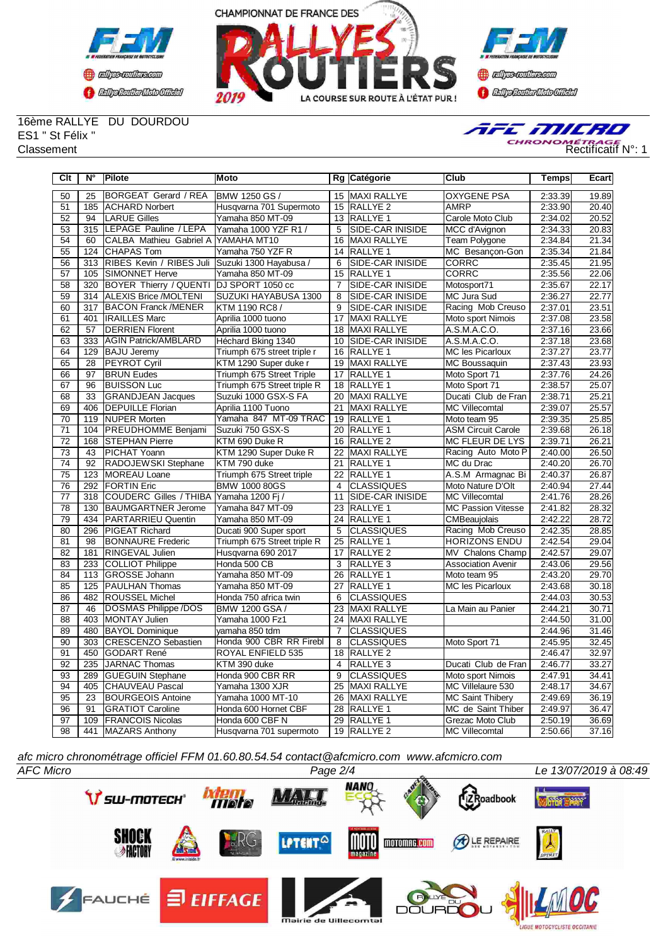



**Confederation CENTRAL MEDICATE** 

16ème RALLYE DU DOURDOU ES1 " St Félix "



| $\overline{C}$ lt | $\overline{\mathsf{N}^\circ}$ | Pilote                                          | Moto                        |                 | Rg Catégorie            | Club                      | Temps   | Ecart |
|-------------------|-------------------------------|-------------------------------------------------|-----------------------------|-----------------|-------------------------|---------------------------|---------|-------|
| 50                | 25                            | BORGEAT Gerard / REA                            | <b>BMW 1250 GS /</b>        |                 | 15 MAXI RALLYE          | <b>OXYGENE PSA</b>        | 2:33.39 | 19.89 |
| 51                | 185                           | <b>ACHARD Norbert</b>                           | Husqvarna 701 Supermoto     | 15              | <b>RALLYE 2</b>         | AMRP                      | 2:33.90 | 20.40 |
| 52                | 94                            | <b>LARUE Gilles</b>                             | Yamaha 850 MT-09            | $\overline{13}$ | <b>RALLYE 1</b>         | Carole Moto Club          | 2:34.02 | 20.52 |
| 53                | 315                           | LEPAGE Pauline / LEPA                           | Yamaha 1000 YZF R1 /        | 5               | SIDE-CAR INISIDE        | MCC d'Avignon             | 2:34.33 | 20.83 |
| 54                | 60                            | CALBA Mathieu Gabriel A YAMAHA MT10             |                             | 16              | <b>MAXI RALLYE</b>      | Team Polygone             | 2:34.84 | 21.34 |
| 55                | 124                           | <b>CHAPAS Tom</b>                               | Yamaha 750 YZF R            | 14              | <b>RALLYE 1</b>         | MC Besançon-Gon           | 2:35.34 | 21.84 |
| 56                | 313                           | RIBES Kevin / RIBES Juli Suzuki 1300 Hayabusa / |                             | 6               | SIDE-CAR INISIDE        | CORRC                     | 2:35.45 | 21.95 |
| 57                | 105                           | <b>SIMONNET Herve</b>                           | Yamaha 850 MT-09            |                 | 15 RALLYE 1             | <b>CORRC</b>              | 2:35.56 | 22.06 |
| $\overline{58}$   | 320                           | <b>BOYER Thierry / QUENTI</b>                   | DJ SPORT 1050 cc            | $\overline{7}$  | SIDE-CAR INISIDE        | Motosport71               | 2:35.67 | 22.17 |
| 59                | 314                           | <b>ALEXIS Brice /MOLTENI</b>                    | SUZUKI HAYABUSA 1300        | $\overline{8}$  | <b>SIDE-CAR INISIDE</b> | MC Jura Sud               | 2:36.27 | 22.77 |
| 60                | 317                           | <b>IBACON Franck /MENER</b>                     | KTM 1190 RC8 /              | 9               | SIDE-CAR INISIDE        | Racing Mob Creuso         | 2:37.01 | 23.51 |
| 61                | 401                           | <b>IRAILLES Marc</b>                            | Aprilia 1000 tuono          | 17              | <b>MAXI RALLYE</b>      | Moto sport Nimois         | 2:37.08 | 23.58 |
| 62                | $\overline{57}$               | <b>IDERRIEN Florent</b>                         | Aprilia 1000 tuono          | 18              | <b>MAXI RALLYE</b>      | A.S.M.A.C.O.              | 2:37.16 | 23.66 |
| 63                | 333                           | <b>AGIN Patrick/AMBLARD</b>                     | Héchard Bking 1340          | 10              | <b>SIDE-CAR INISIDE</b> | A.S.M.A.C.O.              | 2:37.18 | 23.68 |
| 64                | 129                           | <b>BAJU Jeremy</b>                              | Triumph 675 street triple r | 16              | <b>RALLYE 1</b>         | <b>MC les Picarloux</b>   | 2:37.27 | 23.77 |
| 65                | 28                            | PEYROT Cyril                                    | KTM 1290 Super duke r       | 19              | <b>MAXI RALLYE</b>      | MC Boussaquin             | 2:37.43 | 23.93 |
| 66                | 97                            | <b>BRUN Eudes</b>                               | Triumph 675 Street Triple   | 17              | RALLYE 1                | Moto Sport 71             | 2:37.76 | 24.26 |
| 67                | 96                            | <b>IBUISSON Luc</b>                             | Triumph 675 Street triple R | 18              | <b>IRALLYE 1</b>        | Moto Sport 71             | 2:38.57 | 25.07 |
| 68                | 33                            | <b>GRANDJEAN Jacques</b>                        | Suzuki 1000 GSX-S FA        | 20              | <b>MAXI RALLYE</b>      | Ducati Club de Fran       | 2:38.71 | 25.21 |
| 69                | 406                           | <b>DEPUILLE Florian</b>                         | Aprilia 1100 Tuono          | 21              | <b>MAXI RALLYE</b>      | <b>MC Villecomtal</b>     | 2:39.07 | 25.57 |
| 70                | 119                           | <b>NUPER Morten</b>                             | Yamaha 847 MT-09 TRAC       | 19              | <b>RALLYE 1</b>         | Moto team 95              | 2:39.35 | 25.85 |
| 71                | 104                           | <b>PREUDHOMME Benjami</b>                       | Suzuki 750 GSX-S            | 20              | <b>RALLYE 1</b>         | <b>ASM Circuit Carole</b> | 2:39.68 | 26.18 |
| $\overline{72}$   | 168                           | <b>STEPHAN Pierre</b>                           | KTM 690 Duke R              | 16              | RALLYE <sub>2</sub>     | MC FLEUR DE LYS           | 2:39.71 | 26.21 |
| 73                | 43                            | PICHAT Yoann                                    | KTM 1290 Super Duke R       | 22              | <b>MAXI RALLYE</b>      | Racing Auto Moto P        | 2:40.00 | 26.50 |
| 74                | 92                            | RADOJEWSKI Stephane                             | KTM 790 duke                | 21              | RALLYE 1                | MC du Drac                | 2:40.20 | 26.70 |
| 75                | 123                           | <b>IMOREAU Loane</b>                            | Triumph 675 Street triple   | 22              | <b>RALLYE 1</b>         | A.S.M Armagnac Bi         | 2:40.37 | 26.87 |
| 76                | 292                           | <b>FORTIN Eric</b>                              | <b>BMW 1000 80GS</b>        | 4               | <b>CLASSIQUES</b>       | Moto Nature D'Olt         | 2:40.94 | 27.44 |
| 77                | 318                           | <b>COUDERC Gilles / THIBA</b>                   | Yamaha 1200 Fi /            | 11              | <b>SIDE-CAR INISIDE</b> | <b>MC Villecomtal</b>     | 2:41.76 | 28.26 |
| 78                | 130                           | <b>BAUMGARTNER Jerome</b>                       | Yamaha 847 MT-09            | 23              | <b>RALLYE 1</b>         | <b>MC Passion Vitesse</b> | 2:41.82 | 28.32 |
| 79                | 434                           | <b>PARTARRIEU Quentin</b>                       | Yamaha 850 MT-09            | 24              | <b>RALLYE 1</b>         | CMBeaujolais              | 2:42.22 | 28.72 |
| 80                | 296                           | PIGEAT Richard                                  | Ducati 900 Super sport      | $\overline{5}$  | <b>CLASSIQUES</b>       | Racing Mob Creuso         | 2:42.35 | 28.85 |
| $\overline{81}$   | 98                            | <b>BONNAURE Frederic</b>                        | Triumph 675 Street triple R | 25              | RALLYE 1                | <b>HORIZONS ENDU</b>      | 2:42.54 | 29.04 |
| 82                | 181                           | <b>RINGEVAL Julien</b>                          | Husqvarna 690 2017          | 17              | RALLYE <sub>2</sub>     | MV Chalons Champ          | 2:42.57 | 29.07 |
| 83                | 233                           | <b>COLLIOT Philippe</b>                         | Honda 500 CB                | 3               | RALLYE 3                | <b>Association Avenir</b> | 2:43.06 | 29.56 |
| 84                | 113                           | GROSSE Johann                                   | Yamaha 850 MT-09            | 26              | <b>RALLYE 1</b>         | Moto team 95              | 2:43.20 | 29.70 |
| 85                | 125                           | <b>PAULHAN Thomas</b>                           | Yamaha 850 MT-09            | 27              | RALLYE 1                | MC les Picarloux          | 2:43.68 | 30.18 |
| 86                | 482                           | <b>ROUSSEL Michel</b>                           | Honda 750 africa twin       | 6               | <b>CLASSIQUES</b>       |                           | 2:44.03 | 30.53 |
| 87                | 46                            | DOSMAS Philippe /DOS                            | BMW 1200 GSA /              | $\overline{23}$ | <b>MAXI RALLYE</b>      | La Main au Panier         | 2:44.21 | 30.71 |
| 88                | 403                           | MONTAY Julien                                   | Yamaha 1000 Fz1             | 24              | <b>MAXI RALLYE</b>      |                           | 2:44.50 | 31.00 |
| 89                | 480                           | <b>BAYOL Dominique</b>                          | vamaha 850 tdm              | $\overline{7}$  | <b>CLASSIQUES</b>       |                           | 2:44.96 | 31.46 |
| 90                | 303                           | <b>CRESCENZO Sebastien</b>                      | Honda 900 CBR RR Firebl     | 8               | <b>CLASSIQUES</b>       | Moto Sport 71             | 2:45.95 | 32.45 |
| 91                | 450                           | GODART René                                     | ROYAL ENFIELD 535           | 18              | <b>RALLYE 2</b>         |                           | 2:46.47 | 32.97 |
| 92                | 235                           | JARNAC Thomas                                   | KTM 390 duke                | 4               | RALLYE <sub>3</sub>     | Ducati Club de Fran       | 2:46.77 | 33.27 |
| 93                | 289                           | <b>GUEGUIN Stephane</b>                         | Honda 900 CBR RR            | 9               | <b>CLASSIQUES</b>       | Moto sport Nimois         | 2:47.91 | 34.41 |
| 94                | 405                           | <b>CHAUVEAU Pascal</b>                          | Yamaha 1300 XJR             | $\overline{25}$ | MAXI RALLYE             | MC Villelaure 530         | 2:48.17 | 34.67 |
| 95                | 23                            | <b>BOURGEOIS Antoine</b>                        | Yamaha 1000 MT-10           | 26              | MAXI RALLYE             | <b>MC Saint Thibery</b>   | 2:49.69 | 36.19 |
| 96                | 91                            | <b>GRATIOT Caroline</b>                         | Honda 600 Hornet CBF        | 28              | RALLYE 1                | MC de Saint Thiber        | 2:49.97 | 36.47 |
| 97                | 109                           | <b>FRANCOIS Nicolas</b>                         | Honda 600 CBF N             | 29              | RALLYE <sub>1</sub>     | <b>Grezac Moto Club</b>   | 2:50.19 | 36.69 |
| 98                | 441                           | MAZARS Anthony                                  | Husqvarna 701 supermoto     | 19              | RALLYE <sub>2</sub>     | <b>MC Villecomtal</b>     | 2:50.66 | 37.16 |

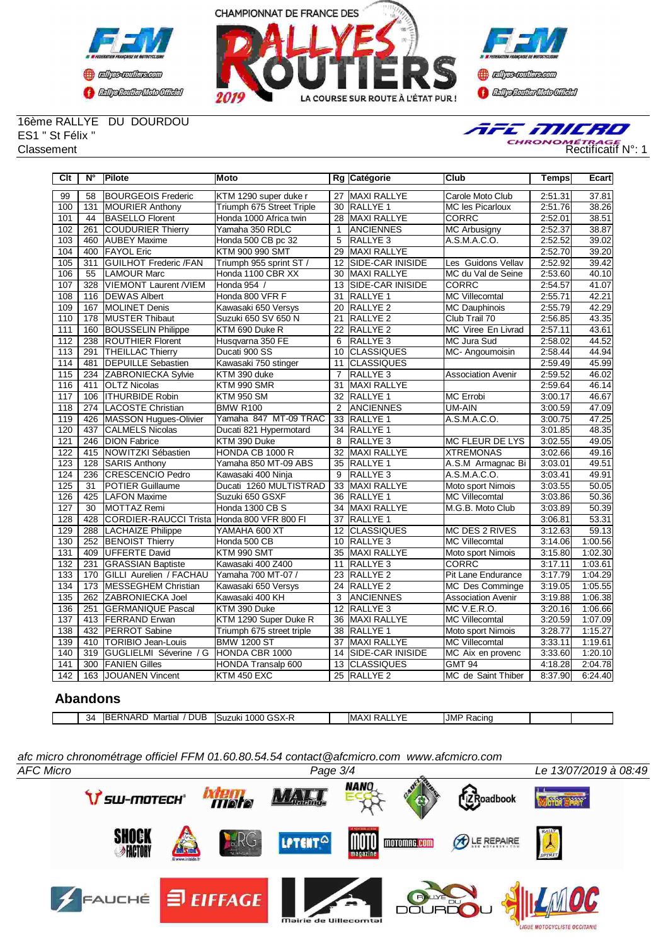



**()** algo-collecom **CENTRAL MEDICATE** 

#### 16ème RALLYE DU DOURDOU ES1 " St Félix "



| Clt              | $N^{\circ}$      | <b>Pilote</b>                              | Moto                      |                 | Rg Catégorie            | Club                      | <b>Temps</b> | Ecart   |
|------------------|------------------|--------------------------------------------|---------------------------|-----------------|-------------------------|---------------------------|--------------|---------|
| 99               | 58               | <b>IBOURGEOIS Frederic</b>                 | KTM 1290 super duke r     |                 | 27 MAXI RALLYE          | Carole Moto Club          | 2:51.31      | 37.81   |
| 100              | 131              | <b>MOURIER Anthony</b>                     | Triumph 675 Street Triple | 30              | RALLYE 1                | <b>MC les Picarloux</b>   | 2:51.76      | 38.26   |
| 101              | 44               | <b>BASELLO Florent</b>                     | Honda 1000 Africa twin    | 28              | MAXI RALLYE             | <b>CORRC</b>              | 2:52.01      | 38.51   |
| 102              | 261              | <b>COUDURIER Thierry</b>                   | Yamaha 350 RDLC           | $\mathbf{1}$    | <b>ANCIENNES</b>        | <b>MC Arbusigny</b>       | 2:52.37      | 38.87   |
| 103              | 460              | <b>AUBEY Maxime</b>                        | Honda 500 CB pc 32        | $\overline{5}$  | RALLYE <sub>3</sub>     | A.S.M.A.C.O.              | 2:52.52      | 39.02   |
| 104              | 400              | <b>IFAYOL Eric</b>                         | KTM 900 990 SMT           | 29              | MAXI RALLYE             |                           | 2:52.70      | 39.20   |
| 105              | 311              | <b>GUILHOT Frederic /FAN</b>               | Triumph 955 sprint ST /   | 12              | <b>SIDE-CAR INISIDE</b> | Les Guidons Vellav        | 2:52.92      | 39.42   |
| 106              | 55               | <b>LAMOUR Marc</b>                         | Honda 1100 CBR XX         | 30              | <b>MAXI RALLYE</b>      | MC du Val de Seine        | 2:53.60      | 40.10   |
| 107              | 328              | <b>VIEMONT Laurent /VIEM</b>               | Honda 954 /               | 13              | <b>SIDE-CAR INISIDE</b> | <b>CORRC</b>              | 2:54.57      | 41.07   |
| 108              | 116              | <b>DEWAS Albert</b>                        | Honda 800 VFR F           | $\overline{31}$ | <b>RALLYE 1</b>         | <b>MC Villecomtal</b>     | 2:55.71      | 42.21   |
| 109              | 167              | <b>MOLINET Denis</b>                       | Kawasaki 650 Versys       | 20              | <b>RALLYE 2</b>         | <b>MC Dauphinois</b>      | 2:55.79      | 42.29   |
| 110              | 178              | <b>IMUSTER Thibaut</b>                     | Suzuki 650 SV 650 N       | 21              | <b>RALLYE 2</b>         | Club Trail 70             | 2:56.85      | 43.35   |
| 111              | 160              | <b>BOUSSELIN Philippe</b>                  | KTM 690 Duke R            | $\overline{22}$ | RALLYE <sub>2</sub>     | MC Viree En Livrad        | 2:57.11      | 43.61   |
| 112              | 238              | <b>ROUTHIER Florent</b>                    | Husqvarna 350 FE          | 6               | <b>RALLYE3</b>          | <b>MC Jura Sud</b>        | 2:58.02      | 44.52   |
| $\overline{113}$ | 291              | <b>THEILLAC Thierry</b>                    | Ducati 900 SS             | 10              | <b>CLASSIQUES</b>       | MC-Angoumoisin            | 2:58.44      | 44.94   |
| 114              | 481              | <b>DEPUILLE Sebastien</b>                  | Kawasaki 750 stinger      | 11              | <b>CLASSIQUES</b>       |                           | 2:59.49      | 45.99   |
| 115              | 234              | <b>ZABRONIECKA Sylvie</b>                  | KTM 390 duke              | $\overline{7}$  | <b>RALLYE 3</b>         | <b>Association Avenir</b> | 2:59.52      | 46.02   |
| 116              | 411              | <b>OLTZ Nicolas</b>                        | KTM 990 SMR               | 31              | <b>MAXI RALLYE</b>      |                           | 2:59.64      | 46.14   |
| 117              | 106              | <b>ITHURBIDE Robin</b>                     | <b>KTM 950 SM</b>         | 32              | <b>RALLYE 1</b>         | MC Errobi                 | 3:00.17      | 46.67   |
| 118              |                  | 274 ILACOSTE Christian                     | <b>BMW R100</b>           | $\overline{2}$  | <b>ANCIENNES</b>        | UM-AIN                    | 3:00.59      | 47.09   |
| 119              | 426              | MASSON Hugues-Olivier                      | Yamaha 847 MT-09 TRAC     | $\overline{33}$ | <b>RALLYE 1</b>         | A.S.M.A.C.O.              | 3:00.75      | 47.25   |
| 120              | 437              | <b>I</b> CALMELS Nicolas                   | Ducati 821 Hypermotard    | 34              | <b>RALLYE 1</b>         |                           | 3:01.85      | 48.35   |
| 121              | 246              | <b>DION Fabrice</b>                        | KTM 390 Duke              | 8               | <b>RALLYE3</b>          | <b>MC FLEUR DE LYS</b>    | 3:02.55      | 49.05   |
| 122              | 415              | NOWITZKI Sébastien                         | HONDA CB 1000 R           | 32              | <b>MAXI RALLYE</b>      | <b>XTREMONAS</b>          | 3:02.66      | 49.16   |
| 123              | 128              | <b>SARIS Anthony</b>                       | Yamaha 850 MT-09 ABS      | 35              | <b>RALLYE 1</b>         | A.S.M Armagnac Bi         | 3:03.01      | 49.51   |
| 124              | 236              | <b>CRESCENCIO Pedro</b>                    | Kawasaki 400 Ninja        | 9               | <b>RALLYE 3</b>         | A.S.M.A.C.O.              | 3:03.41      | 49.91   |
| 125              | 31               | <b>POTIER Guillaume</b>                    | Ducati 1260 MULTISTRAD    | 33              | <b>MAXI RALLYE</b>      | Moto sport Nimois         | 3:03.55      | 50.05   |
| 126              | 425              | <b>I</b> LAFON Maxime                      | Suzuki 650 GSXF           | 36              | <b>RALLYE 1</b>         | <b>MC Villecomtal</b>     | 3:03.86      | 50.36   |
| 127              | $\overline{30}$  | <b>IMOTTAZ Remi</b>                        | Honda 1300 CB S           | $\overline{34}$ | <b>MAXI RALLYE</b>      | M.G.B. Moto Club          | 3:03.89      | 50.39   |
| 128              | 428              | CORDIER-RAUCCI Trista Honda 800 VFR 800 FI |                           | 37              | <b>RALLYE 1</b>         |                           | 3:06.81      | 53.31   |
| 129              | 288              | LACHAIZE Philippe                          | YAMAHA 600 XT             | 12              | <b>CLASSIQUES</b>       | <b>MC DES 2 RIVES</b>     | 3:12.63      | 59.13   |
| 130              | 252              | <b>BENOIST Thierry</b>                     | Honda 500 CB              | 10              | RALLYE <sub>3</sub>     | <b>MC Villecomtal</b>     | 3:14.06      | 1:00.56 |
| 131              | 409              | <b>IUFFERTE David</b>                      | KTM 990 SMT               | 35              | <b>MAXI RALLYE</b>      | Moto sport Nimois         | 3:15.80      | 1:02.30 |
| 132              | 231              | <b>GRASSIAN Baptiste</b>                   | Kawasaki 400 Z400         | 11              | RALLYE <sub>3</sub>     | <b>CORRC</b>              | 3:17.11      | 1:03.61 |
| 133              | 170              | GILLI Aurelien / FACHAU                    | Yamaha 700 MT-07 /        | 23              | <b>RALLYE 2</b>         | Pit Lane Endurance        | 3:17.79      | 1:04.29 |
| 134              | 173              | <b>MESSEGHEM Christian</b>                 | Kawasaki 650 Versys       | 24              | <b>RALLYE 2</b>         | <b>MC Des Comminge</b>    | 3:19.05      | 1:05.55 |
| 135              | $\overline{262}$ | <b>ZABRONIECKA Joel</b>                    | Kawasaki 400 KH           | 3               | <b>ANCIENNES</b>        | <b>Association Avenir</b> | 3:19.88      | 1:06.38 |
| 136              | 251              | <b>I</b> GERMANIQUE Pascal                 | KTM 390 Duke              | $\overline{12}$ | <b>RALLYE 3</b>         | MC V.E.R.O.               | 3:20.16      | 1:06.66 |
| 137              | 413              | <b>FERRAND Erwan</b>                       | KTM 1290 Super Duke R     | 36              | <b>MAXI RALLYE</b>      | <b>MC Villecomtal</b>     | 3:20.59      | 1:07.09 |
| 138              | 432              | <b>PERROT Sabine</b>                       | Triumph 675 street triple | 38              | RALLYE 1                | Moto sport Nimois         | 3:28.77      | 1:15.27 |
| 139              | 410              | <b>ITORIBIO Jean-Louis</b>                 | <b>BMW 1200 ST</b>        | 37              | <b>MAXI RALLYE</b>      | <b>MC Villecomtal</b>     | 3:33.11      | 1:19.61 |
| 140              | 319              | GUGLIELMI Séverine / G                     | HONDA CBR 1000            | 14              | SIDE-CAR INISIDE        | MC Aix en provenc         | 3:33.60      | 1:20.10 |
| 141              | 300              | <b>FANIEN Gilles</b>                       | HONDA Transalp 600        | 13              | <b>CLASSIQUES</b>       | <b>GMT 94</b>             | 4:18.28      | 2:04.78 |
| 142              | 163              | JOUANEN Vincent                            | <b>KTM 450 EXC</b>        |                 | 25 RALLYE 2             | MC de Saint Thiber        | 8:37.90      | 6:24.40 |

# **Abandons**

| DUB<br><b>JMI</b><br>$\overline{1}$<br>. .<br>' በበበ ເ<br>-34<br>∍.<br>IMAX<br>பட<br>$\mathbf{r}$<br>᠈ռ<br>Martıal<br>$\overline{\phantom{a}}$<br>ISuzuki<br>חרחו<br>.<br><b>Naull</b><br>$\sim$ $\sim$<br>___ |  |  |  |  |  |
|---------------------------------------------------------------------------------------------------------------------------------------------------------------------------------------------------------------|--|--|--|--|--|
|                                                                                                                                                                                                               |  |  |  |  |  |